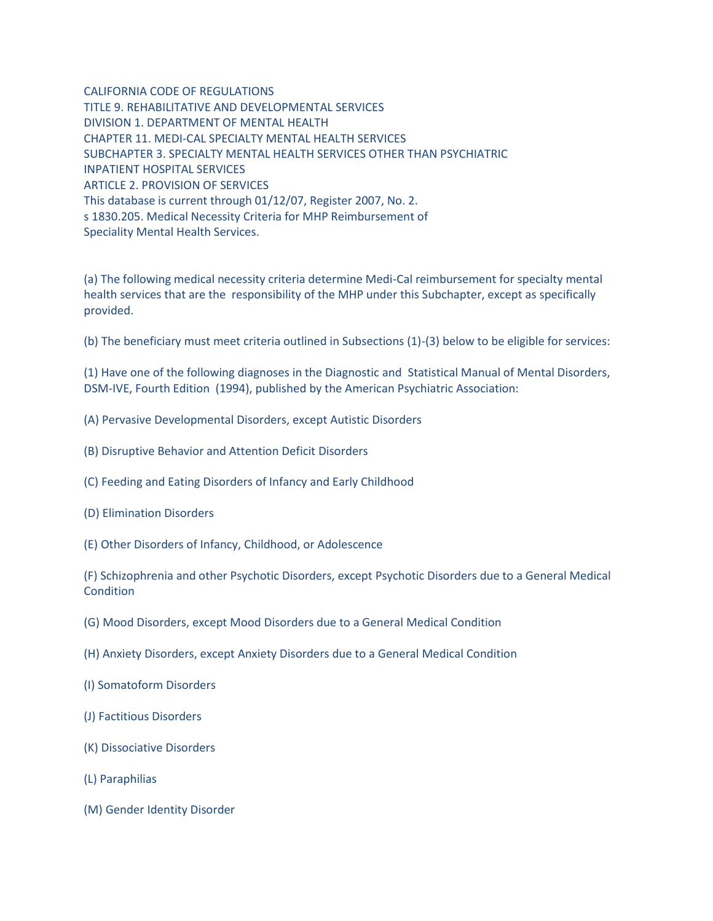CALIFORNIA CODE OF REGULATIONS TITLE 9. REHABILITATIVE AND DEVELOPMENTAL SERVICES DIVISION 1. DEPARTMENT OF MENTAL HEALTH CHAPTER 11. MEDI-CAL SPECIALTY MENTAL HEALTH SERVICES SUBCHAPTER 3. SPECIALTY MENTAL HEALTH SERVICES OTHER THAN PSYCHIATRIC INPATIENT HOSPITAL SERVICES ARTICLE 2. PROVISION OF SERVICES This database is current through 01/12/07, Register 2007, No. 2. s 1830.205. Medical Necessity Criteria for MHP Reimbursement of Speciality Mental Health Services.

(a) The following medical necessity criteria determine Medi-Cal reimbursement for specialty mental health services that are the responsibility of the MHP under this Subchapter, except as specifically provided.

(b) The beneficiary must meet criteria outlined in Subsections (1)-(3) below to be eligible for services:

(1) Have one of the following diagnoses in the Diagnostic and Statistical Manual of Mental Disorders, DSM-IVE, Fourth Edition (1994), published by the American Psychiatric Association:

- (A) Pervasive Developmental Disorders, except Autistic Disorders
- (B) Disruptive Behavior and Attention Deficit Disorders
- (C) Feeding and Eating Disorders of Infancy and Early Childhood
- (D) Elimination Disorders
- (E) Other Disorders of Infancy, Childhood, or Adolescence

(F) Schizophrenia and other Psychotic Disorders, except Psychotic Disorders due to a General Medical **Condition** 

- (G) Mood Disorders, except Mood Disorders due to a General Medical Condition
- (H) Anxiety Disorders, except Anxiety Disorders due to a General Medical Condition
- (I) Somatoform Disorders
- (J) Factitious Disorders
- (K) Dissociative Disorders
- (L) Paraphilias
- (M) Gender Identity Disorder